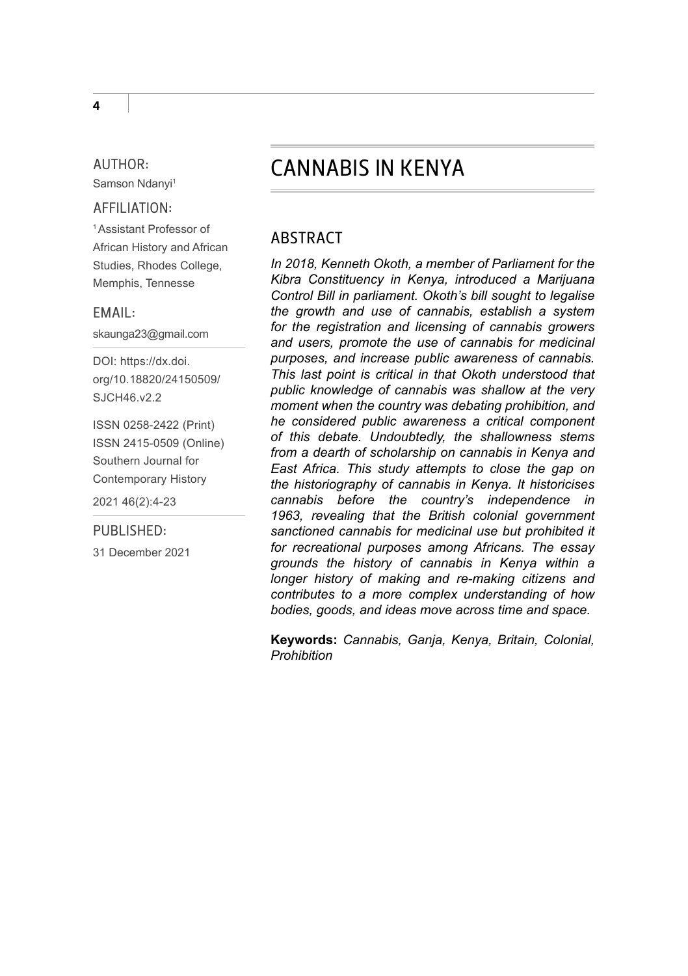#### AUTHOR: Samson Ndanyi1

### AFFILIATION:

1 Assistant Professor of African History and African Studies, Rhodes College, Memphis, Tennesse

EMAIL:

skaunga23@gmail.com

DOI: [https://dx.doi.](https://dx.doi.org/10.18820/24150509/SJCH46.v2.2) [org/10.18820/24150509/](https://dx.doi.org/10.18820/24150509/SJCH46.v2.2) SJCH46 v2.2

ISSN 0258-2422 (Print) ISSN 2415-0509 (Online) Southern Journal for Contemporary History 2021 46(2):4-23

#### PUBLISHED:

31 December 2021

# CANNABIS IN KENYA

## ABSTRACT

*In 2018, Kenneth Okoth, a member of Parliament for the Kibra Constituency in Kenya, introduced a Marijuana Control Bill in parliament. Okoth's bill sought to legalise the growth and use of cannabis, establish a system for the registration and licensing of cannabis growers and users, promote the use of cannabis for medicinal purposes, and increase public awareness of cannabis. This last point is critical in that Okoth understood that public knowledge of cannabis was shallow at the very moment when the country was debating prohibition, and he considered public awareness a critical component of this debate. Undoubtedly, the shallowness stems from a dearth of scholarship on cannabis in Kenya and East Africa. This study attempts to close the gap on the historiography of cannabis in Kenya. It historicises cannabis before the country's independence in 1963, revealing that the British colonial government sanctioned cannabis for medicinal use but prohibited it for recreational purposes among Africans. The essay grounds the history of cannabis in Kenya within a longer history of making and re-making citizens and contributes to a more complex understanding of how bodies, goods, and ideas move across time and space.* 

**Keywords:** *Cannabis, Ganja, Kenya, Britain, Colonial, Prohibition*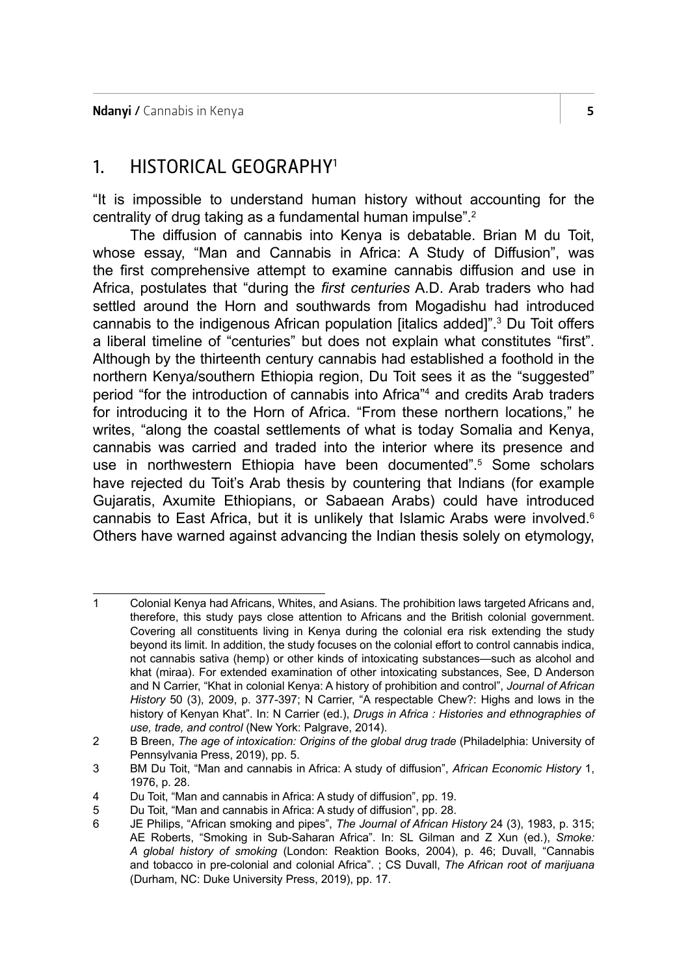## 1. HISTORICAL GEOGRAPHY1

"It is impossible to understand human history without accounting for the centrality of drug taking as a fundamental human impulse".<sup>2</sup>

The diffusion of cannabis into Kenya is debatable. Brian M du Toit, whose essay, "Man and Cannabis in Africa: A Study of Diffusion", was the first comprehensive attempt to examine cannabis diffusion and use in Africa, postulates that "during the *first centuries* A.D. Arab traders who had settled around the Horn and southwards from Mogadishu had introduced cannabis to the indigenous African population [italics added]".3 Du Toit offers a liberal timeline of "centuries" but does not explain what constitutes "first". Although by the thirteenth century cannabis had established a foothold in the northern Kenya/southern Ethiopia region, Du Toit sees it as the "suggested" period "for the introduction of cannabis into Africa"4 and credits Arab traders for introducing it to the Horn of Africa. "From these northern locations," he writes, "along the coastal settlements of what is today Somalia and Kenya, cannabis was carried and traded into the interior where its presence and use in northwestern Ethiopia have been documented".<sup>5</sup> Some scholars have rejected du Toit's Arab thesis by countering that Indians (for example Gujaratis, Axumite Ethiopians, or Sabaean Arabs) could have introduced cannabis to East Africa, but it is unlikely that Islamic Arabs were involved.<sup>6</sup> Others have warned against advancing the Indian thesis solely on etymology,

<sup>1</sup> Colonial Kenya had Africans, Whites, and Asians. The prohibition laws targeted Africans and, therefore, this study pays close attention to Africans and the British colonial government. Covering all constituents living in Kenya during the colonial era risk extending the study beyond its limit. In addition, the study focuses on the colonial effort to control cannabis indica, not cannabis sativa (hemp) or other kinds of intoxicating substances—such as alcohol and khat (miraa). For extended examination of other intoxicating substances, See, D Anderson and N Carrier, "Khat in colonial Kenya: A history of prohibition and control", *Journal of African History* 50 (3), 2009, p. 377-397; N Carrier, "A respectable Chew?: Highs and lows in the history of Kenyan Khat". In: N Carrier (ed.), *Drugs in Africa : Histories and ethnographies of use, trade, and control* (New York: Palgrave, 2014).

<sup>2</sup> B Breen, *The age of intoxication: Origins of the global drug trade* (Philadelphia: University of Pennsylvania Press, 2019), pp. 5.

<sup>3</sup> BM Du Toit, "Man and cannabis in Africa: A study of diffusion", *African Economic History* 1, 1976, p. 28.

<sup>4</sup> Du Toit, "Man and cannabis in Africa: A study of diffusion", pp. 19.

<sup>5</sup> Du Toit, "Man and cannabis in Africa: A study of diffusion", pp. 28.

<sup>6</sup> JE Philips, "African smoking and pipes", *The Journal of African History* 24 (3), 1983, p. 315; AE Roberts, "Smoking in Sub-Saharan Africa". In: SL Gilman and Z Xun (ed.), *Smoke: A global history of smoking* (London: Reaktion Books, 2004), p. 46; Duvall, "Cannabis and tobacco in pre-colonial and colonial Africa". ; CS Duvall, *The African root of marijuana* (Durham, NC: Duke University Press, 2019), pp. 17.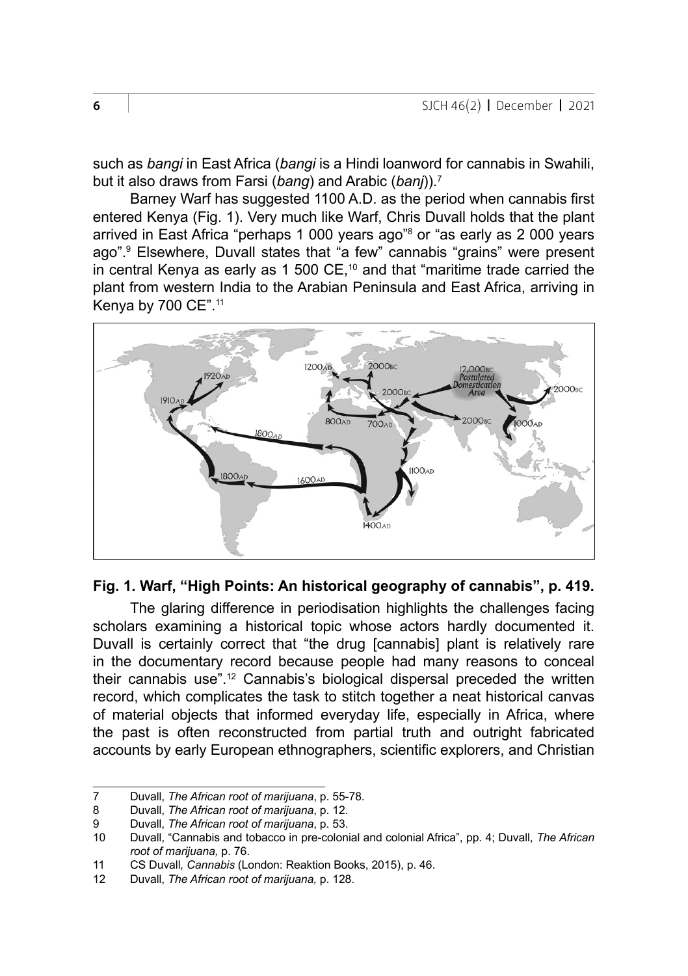such as *bangi* in East Africa (*bangi* is a Hindi loanword for cannabis in Swahili, but it also draws from Farsi (*bang*) and Arabic (*banj*)).7

Barney Warf has suggested 1100 A.D. as the period when cannabis first entered Kenya (Fig. 1). Very much like Warf, Chris Duvall holds that the plant arrived in East Africa "perhaps 1 000 years ago"<sup>s</sup> or "as early as 2 000 years ago".9 Elsewhere, Duvall states that "a few" cannabis "grains" were present in central Kenya as early as 1 500  $CE$ ,<sup>10</sup> and that "maritime trade carried the plant from western India to the Arabian Peninsula and East Africa, arriving in Kenya by 700 CE".<sup>11</sup>



### **Fig. 1. Warf, "High Points: An historical geography of cannabis", p. 419.**

The glaring difference in periodisation highlights the challenges facing scholars examining a historical topic whose actors hardly documented it. Duvall is certainly correct that "the drug [cannabis] plant is relatively rare in the documentary record because people had many reasons to conceal their cannabis use".12 Cannabis's biological dispersal preceded the written record, which complicates the task to stitch together a neat historical canvas of material objects that informed everyday life, especially in Africa, where the past is often reconstructed from partial truth and outright fabricated accounts by early European ethnographers, scientific explorers, and Christian

<sup>7</sup> Duvall, *The African root of marijuana*, p. 55-78.

<sup>8</sup> Duvall, *The African root of marijuana*, p. 12.

<sup>9</sup> Duvall, *The African root of marijuana*, p. 53.

<sup>10</sup> Duvall, "Cannabis and tobacco in pre-colonial and colonial Africa", pp. 4; Duvall, *The African root of marijuana,* p. 76.

<sup>11</sup> CS Duvall*, Cannabis* (London: Reaktion Books, 2015), p. 46.

<sup>12</sup> Duvall, *The African root of marijuana,* p. 128.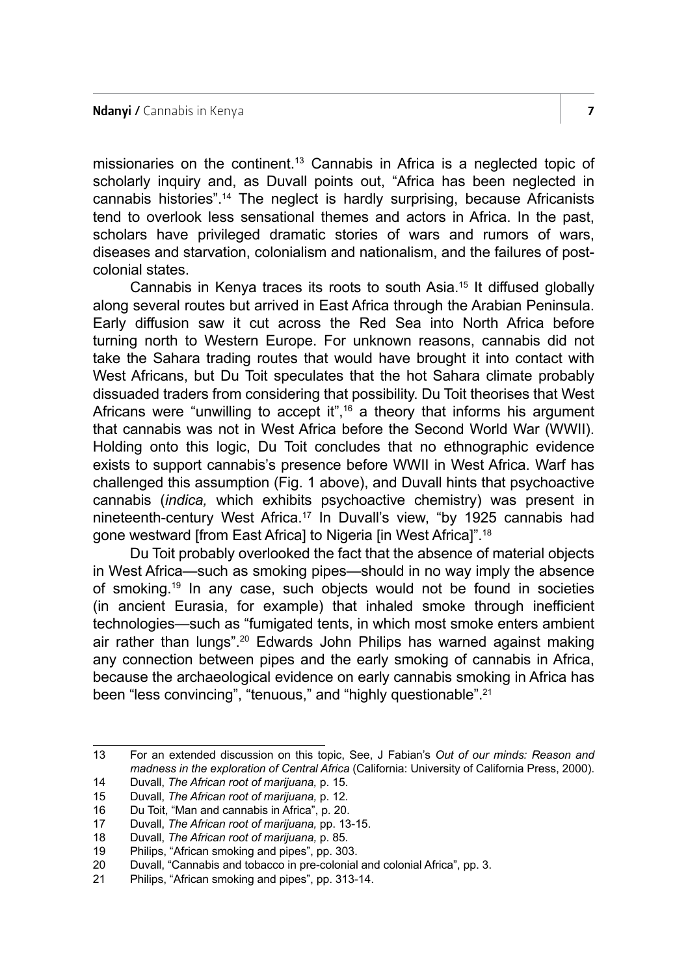missionaries on the continent.13 Cannabis in Africa is a neglected topic of scholarly inquiry and, as Duvall points out, "Africa has been neglected in cannabis histories".14 The neglect is hardly surprising, because Africanists tend to overlook less sensational themes and actors in Africa. In the past, scholars have privileged dramatic stories of wars and rumors of wars, diseases and starvation, colonialism and nationalism, and the failures of postcolonial states.

Cannabis in Kenya traces its roots to south Asia.<sup>15</sup> It diffused globally along several routes but arrived in East Africa through the Arabian Peninsula. Early diffusion saw it cut across the Red Sea into North Africa before turning north to Western Europe. For unknown reasons, cannabis did not take the Sahara trading routes that would have brought it into contact with West Africans, but Du Toit speculates that the hot Sahara climate probably dissuaded traders from considering that possibility. Du Toit theorises that West Africans were "unwilling to accept it", $16$  a theory that informs his argument that cannabis was not in West Africa before the Second World War (WWII). Holding onto this logic, Du Toit concludes that no ethnographic evidence exists to support cannabis's presence before WWII in West Africa. Warf has challenged this assumption (Fig. 1 above), and Duvall hints that psychoactive cannabis (*indica,* which exhibits psychoactive chemistry) was present in nineteenth-century West Africa.17 In Duvall's view, "by 1925 cannabis had gone westward [from East Africa] to Nigeria [in West Africa]".<sup>18</sup>

Du Toit probably overlooked the fact that the absence of material objects in West Africa—such as smoking pipes—should in no way imply the absence of smoking.19 In any case, such objects would not be found in societies (in ancient Eurasia, for example) that inhaled smoke through inefficient technologies—such as "fumigated tents, in which most smoke enters ambient air rather than lungs".20 Edwards John Philips has warned against making any connection between pipes and the early smoking of cannabis in Africa, because the archaeological evidence on early cannabis smoking in Africa has been "less convincing", "tenuous," and "highly questionable".21

<sup>13</sup> For an extended discussion on this topic, See, J Fabian's *Out of our minds: Reason and madness in the exploration of Central Africa* (California: University of California Press, 2000).

<sup>14</sup> Duvall, *The African root of marijuana,* p. 15.

<sup>15</sup> Duvall, *The African root of marijuana,* p. 12.

<sup>16</sup> Du Toit, "Man and cannabis in Africa", p. 20.

<sup>17</sup> Duvall, *The African root of marijuana,* pp. 13-15.

<sup>18</sup> Duvall, *The African root of marijuana,* p. 85.

Philips, "African smoking and pipes", pp. 303.

<sup>20</sup> Duvall, "Cannabis and tobacco in pre-colonial and colonial Africa", pp. 3.<br>21 Philips "African smoking and pines" pp. 313-14

<sup>21</sup> Philips, "African smoking and pipes", pp. 313-14.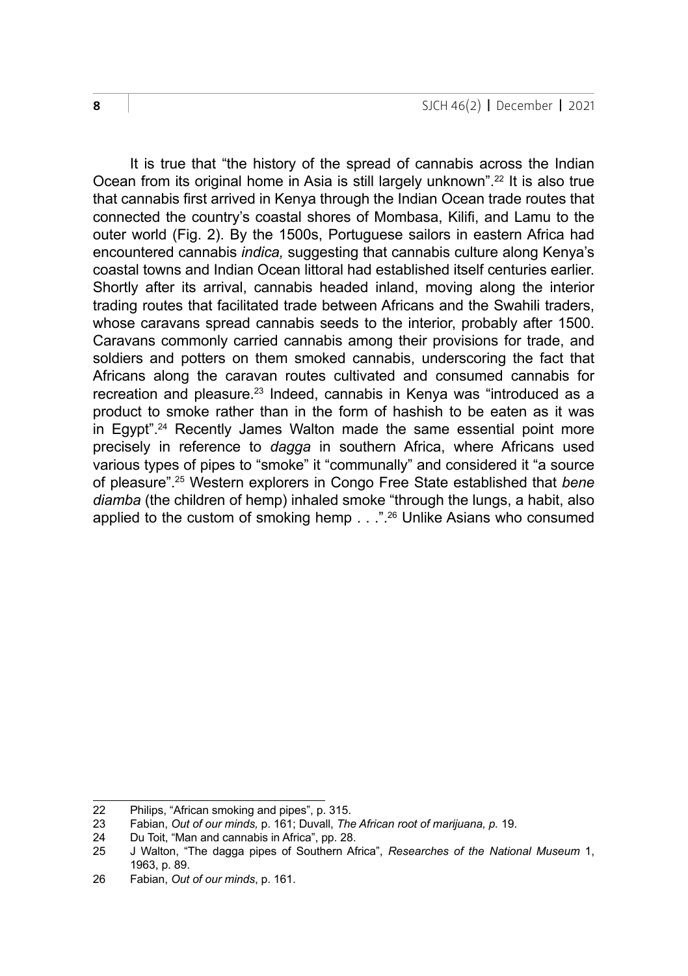It is true that "the history of the spread of cannabis across the Indian Ocean from its original home in Asia is still largely unknown".<sup>22</sup> It is also true that cannabis first arrived in Kenya through the Indian Ocean trade routes that connected the country's coastal shores of Mombasa, Kilifi, and Lamu to the outer world (Fig. 2). By the 1500s, Portuguese sailors in eastern Africa had encountered cannabis *indica,* suggesting that cannabis culture along Kenya's coastal towns and Indian Ocean littoral had established itself centuries earlier. Shortly after its arrival, cannabis headed inland, moving along the interior trading routes that facilitated trade between Africans and the Swahili traders, whose caravans spread cannabis seeds to the interior, probably after 1500. Caravans commonly carried cannabis among their provisions for trade, and soldiers and potters on them smoked cannabis, underscoring the fact that Africans along the caravan routes cultivated and consumed cannabis for recreation and pleasure.<sup>23</sup> Indeed, cannabis in Kenya was "introduced as a product to smoke rather than in the form of hashish to be eaten as it was in Egypt".<sup>24</sup> Recently James Walton made the same essential point more precisely in reference to *dagga* in southern Africa, where Africans used various types of pipes to "smoke" it "communally" and considered it "a source of pleasure".25 Western explorers in Congo Free State established that *bene diamba* (the children of hemp) inhaled smoke "through the lungs, a habit, also applied to the custom of smoking hemp . . .".<sup>26</sup> Unlike Asians who consumed

<sup>22</sup> Philips, "African smoking and pipes", p. 315.

<sup>23</sup> Fabian, *Out of our minds,* p. 161; Duvall, *The African root of marijuana, p.* 19.

<sup>24</sup> Du Toit, "Man and cannabis in Africa", pp. 28.<br>25 J Walton. "The dagga pipes of Southern Af

<sup>25</sup> J Walton, "The dagga pipes of Southern Africa", *Researches of the National Museum* 1, 1963, p. 89.

<sup>26</sup> Fabian, *Out of our minds*, p. 161.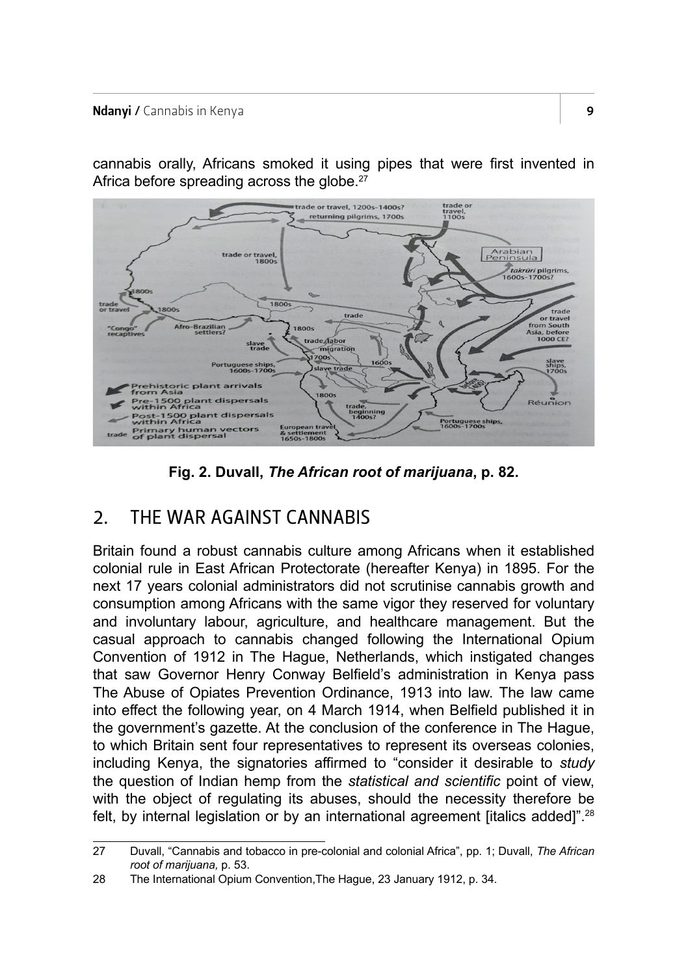### Ndanyi / Cannabis in Kenya 9

cannabis orally, Africans smoked it using pipes that were first invented in Africa before spreading across the globe.<sup>27</sup>



**Fig. 2. Duvall,** *The African root of marijuana***, p. 82.**

# 2. THE WAR AGAINST CANNABIS

Britain found a robust cannabis culture among Africans when it established colonial rule in East African Protectorate (hereafter Kenya) in 1895. For the next 17 years colonial administrators did not scrutinise cannabis growth and consumption among Africans with the same vigor they reserved for voluntary and involuntary labour, agriculture, and healthcare management. But the casual approach to cannabis changed following the International Opium Convention of 1912 in The Hague, Netherlands, which instigated changes that saw Governor Henry Conway Belfield's administration in Kenya pass The Abuse of Opiates Prevention Ordinance, 1913 into law. The law came into effect the following year, on 4 March 1914, when Belfield published it in the government's gazette. At the conclusion of the conference in The Hague, to which Britain sent four representatives to represent its overseas colonies, including Kenya, the signatories affirmed to "consider it desirable to *study* the question of Indian hemp from the *statistical and scientific* point of view, with the object of regulating its abuses, should the necessity therefore be felt, by internal legislation or by an international agreement [italics added]".28

<sup>27</sup> Duvall, "Cannabis and tobacco in pre-colonial and colonial Africa", pp. 1; Duvall, *The African root of marijuana,* p. 53.

<sup>28</sup> The International Opium Convention,The Hague, 23 January 1912, p. 34.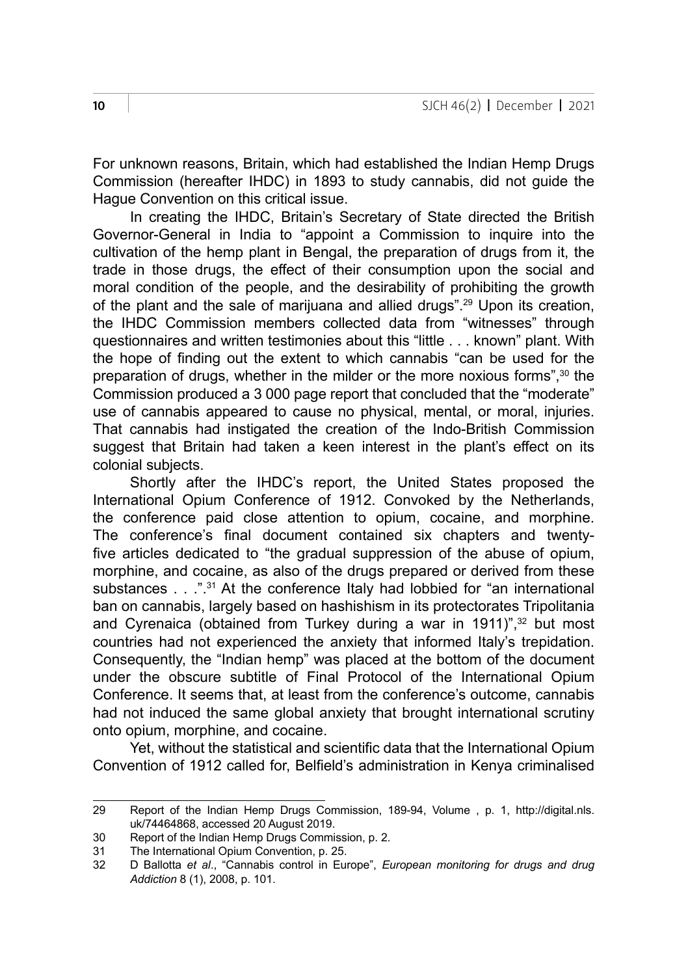For unknown reasons, Britain, which had established the Indian Hemp Drugs Commission (hereafter IHDC) in 1893 to study cannabis, did not guide the Hague Convention on this critical issue.

In creating the IHDC, Britain's Secretary of State directed the British Governor-General in India to "appoint a Commission to inquire into the cultivation of the hemp plant in Bengal, the preparation of drugs from it, the trade in those drugs, the effect of their consumption upon the social and moral condition of the people, and the desirability of prohibiting the growth of the plant and the sale of marijuana and allied drugs".29 Upon its creation, the IHDC Commission members collected data from "witnesses" through questionnaires and written testimonies about this "little . . . known" plant. With the hope of finding out the extent to which cannabis "can be used for the preparation of drugs, whether in the milder or the more noxious forms",<sup>30</sup> the Commission produced a 3 000 page report that concluded that the "moderate" use of cannabis appeared to cause no physical, mental, or moral, injuries. That cannabis had instigated the creation of the Indo-British Commission suggest that Britain had taken a keen interest in the plant's effect on its colonial subjects.

Shortly after the IHDC's report, the United States proposed the International Opium Conference of 1912. Convoked by the Netherlands, the conference paid close attention to opium, cocaine, and morphine. The conference's final document contained six chapters and twentyfive articles dedicated to "the gradual suppression of the abuse of opium, morphine, and cocaine, as also of the drugs prepared or derived from these substances . . .".<sup>31</sup> At the conference Italy had lobbied for "an international ban on cannabis, largely based on hashishism in its protectorates Tripolitania and Cyrenaica (obtained from Turkey during a war in 1911)",<sup>32</sup> but most countries had not experienced the anxiety that informed Italy's trepidation. Consequently, the "Indian hemp" was placed at the bottom of the document under the obscure subtitle of Final Protocol of the International Opium Conference. It seems that, at least from the conference's outcome, cannabis had not induced the same global anxiety that brought international scrutiny onto opium, morphine, and cocaine.

Yet, without the statistical and scientific data that the International Opium Convention of 1912 called for, Belfield's administration in Kenya criminalised

<sup>29</sup> Report of the Indian Hemp Drugs Commission, 189-94, Volume to 1, [http://digital.nls.](http://digital.nls.uk/74464868) [uk/74464868](http://digital.nls.uk/74464868), accessed 20 August 2019.

<sup>30</sup> Report of the Indian Hemp Drugs Commission, p. 2.

<sup>31</sup> The International Opium Convention, p. 25.<br>32 D Ballotta et al., "Cannabis control in Eur

<sup>32</sup> D Ballotta *et al*., "Cannabis control in Europe", *European monitoring for drugs and drug Addiction* 8 (1), 2008, p. 101.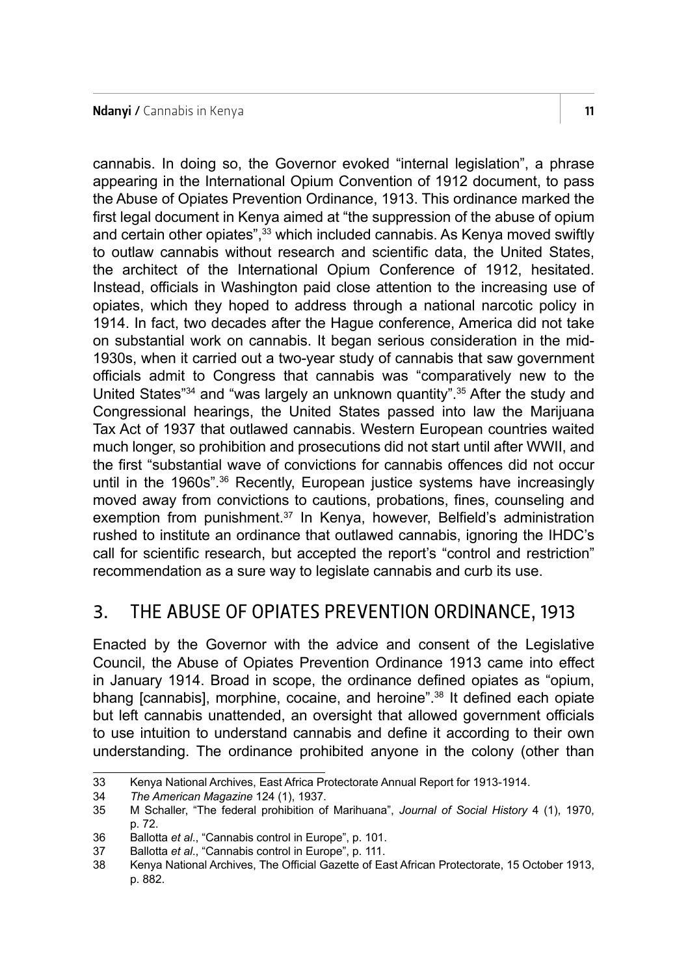cannabis. In doing so, the Governor evoked "internal legislation", a phrase appearing in the International Opium Convention of 1912 document, to pass the Abuse of Opiates Prevention Ordinance, 1913. This ordinance marked the first legal document in Kenya aimed at "the suppression of the abuse of opium and certain other opiates",<sup>33</sup> which included cannabis. As Kenya moved swiftly to outlaw cannabis without research and scientific data, the United States, the architect of the International Opium Conference of 1912, hesitated. Instead, officials in Washington paid close attention to the increasing use of opiates, which they hoped to address through a national narcotic policy in 1914. In fact, two decades after the Hague conference, America did not take on substantial work on cannabis. It began serious consideration in the mid-1930s, when it carried out a two-year study of cannabis that saw government officials admit to Congress that cannabis was "comparatively new to the United States"<sup>34</sup> and "was largely an unknown quantity".<sup>35</sup> After the study and Congressional hearings, the United States passed into law the Marijuana Tax Act of 1937 that outlawed cannabis. Western European countries waited much longer, so prohibition and prosecutions did not start until after WWII, and the first "substantial wave of convictions for cannabis offences did not occur until in the 1960s".<sup>36</sup> Recently, European justice systems have increasingly moved away from convictions to cautions, probations, fines, counseling and exemption from punishment.<sup>37</sup> In Kenya, however, Belfield's administration rushed to institute an ordinance that outlawed cannabis, ignoring the IHDC's call for scientific research, but accepted the report's "control and restriction" recommendation as a sure way to legislate cannabis and curb its use.

# 3. THE ABUSE OF OPIATES PREVENTION ORDINANCE, 1913

Enacted by the Governor with the advice and consent of the Legislative Council, the Abuse of Opiates Prevention Ordinance 1913 came into effect in January 1914. Broad in scope, the ordinance defined opiates as "opium, bhang [cannabis], morphine, cocaine, and heroine".<sup>38</sup> It defined each opiate but left cannabis unattended, an oversight that allowed government officials to use intuition to understand cannabis and define it according to their own understanding. The ordinance prohibited anyone in the colony (other than

<sup>33</sup> Kenya National Archives, East Africa Protectorate Annual Report for 1913-1914.<br>34 The American Magazine 124 (1). 1937.

<sup>34</sup> *The American Magazine* 124 (1), 1937.

<sup>35</sup> M Schaller, "The federal prohibition of Marihuana", *Journal of Social History* 4 (1), 1970, p. 72.

<sup>36</sup> Ballotta *et al*., "Cannabis control in Europe", p. 101.

Ballotta *et al.*, "Cannabis control in Europe", p. 111.

<sup>38</sup> Kenya National Archives, The Official Gazette of East African Protectorate, 15 October 1913, p. 882.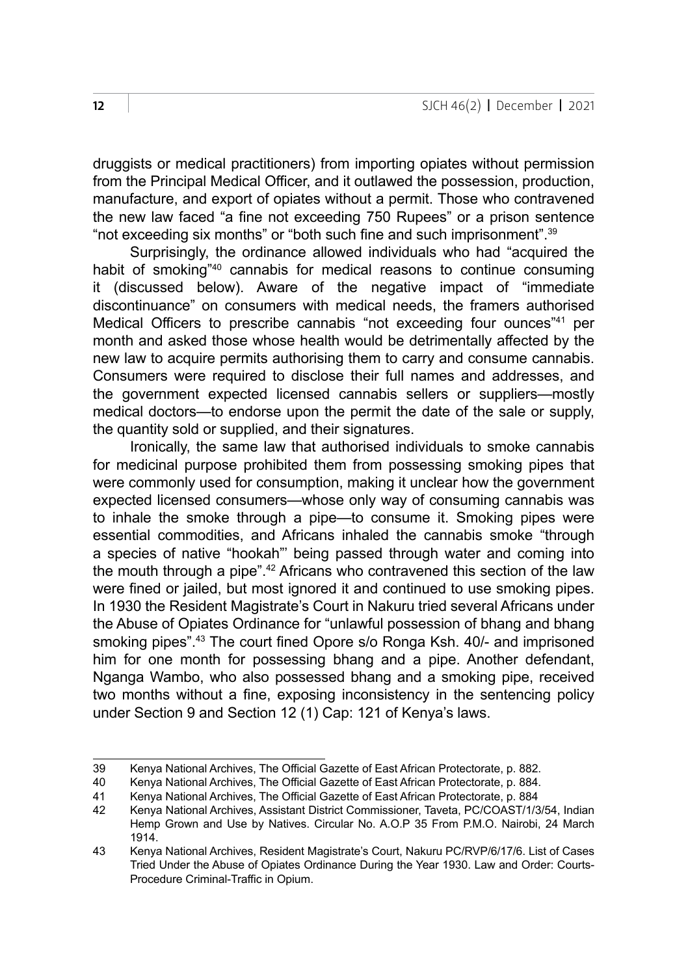druggists or medical practitioners) from importing opiates without permission from the Principal Medical Officer, and it outlawed the possession, production, manufacture, and export of opiates without a permit. Those who contravened the new law faced "a fine not exceeding 750 Rupees" or a prison sentence "not exceeding six months" or "both such fine and such imprisonment".<sup>39</sup>

Surprisingly, the ordinance allowed individuals who had "acquired the habit of smoking<sup>"40</sup> cannabis for medical reasons to continue consuming it (discussed below). Aware of the negative impact of "immediate discontinuance" on consumers with medical needs, the framers authorised Medical Officers to prescribe cannabis "not exceeding four ounces"41 per month and asked those whose health would be detrimentally affected by the new law to acquire permits authorising them to carry and consume cannabis. Consumers were required to disclose their full names and addresses, and the government expected licensed cannabis sellers or suppliers—mostly medical doctors—to endorse upon the permit the date of the sale or supply, the quantity sold or supplied, and their signatures.

Ironically, the same law that authorised individuals to smoke cannabis for medicinal purpose prohibited them from possessing smoking pipes that were commonly used for consumption, making it unclear how the government expected licensed consumers—whose only way of consuming cannabis was to inhale the smoke through a pipe—to consume it. Smoking pipes were essential commodities, and Africans inhaled the cannabis smoke "through a species of native "hookah"' being passed through water and coming into the mouth through a pipe".<sup>42</sup> Africans who contravened this section of the law were fined or jailed, but most ignored it and continued to use smoking pipes. In 1930 the Resident Magistrate's Court in Nakuru tried several Africans under the Abuse of Opiates Ordinance for "unlawful possession of bhang and bhang smoking pipes".43 The court fined Opore s/o Ronga Ksh. 40/- and imprisoned him for one month for possessing bhang and a pipe. Another defendant, Nganga Wambo, who also possessed bhang and a smoking pipe, received two months without a fine, exposing inconsistency in the sentencing policy under Section 9 and Section 12 (1) Cap: 121 of Kenya's laws.

<sup>39</sup> Kenya National Archives, The Official Gazette of East African Protectorate, p. 882.

<sup>40</sup> Kenya National Archives, The Official Gazette of East African Protectorate, p. 884.

<sup>41</sup> Kenya National Archives, The Official Gazette of East African Protectorate, p. 884

<sup>42</sup> Kenya National Archives, Assistant District Commissioner, Taveta, PC/COAST/1/3/54, Indian Hemp Grown and Use by Natives. Circular No. A.O.P 35 From P.M.O. Nairobi, 24 March 1914.

<sup>43</sup> Kenya National Archives, Resident Magistrate's Court, Nakuru PC/RVP/6/17/6. List of Cases Tried Under the Abuse of Opiates Ordinance During the Year 1930. Law and Order: Courts-Procedure Criminal-Traffic in Opium.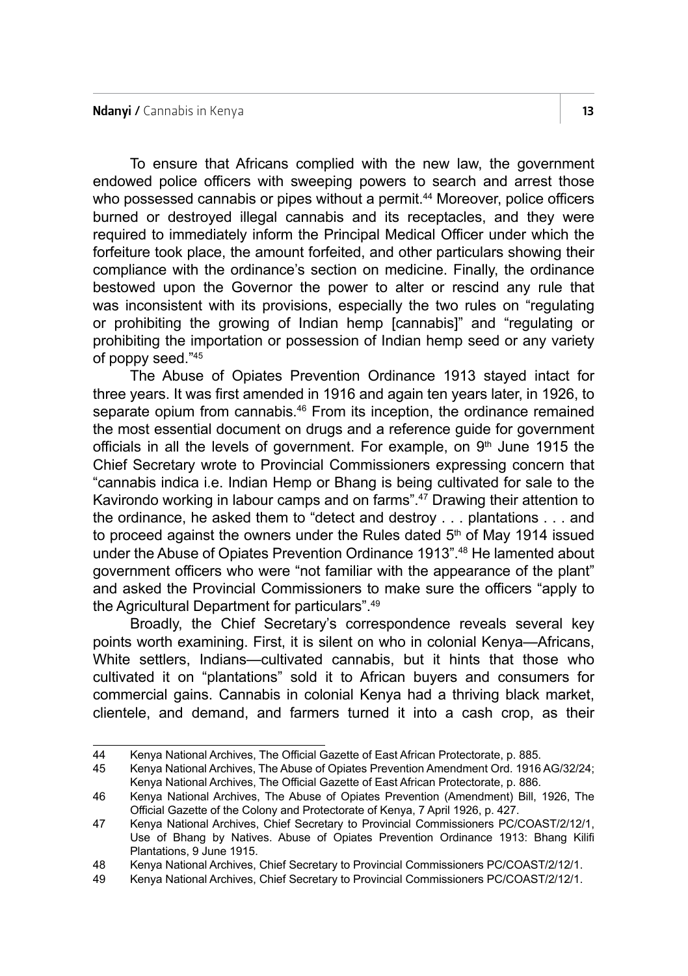To ensure that Africans complied with the new law, the government endowed police officers with sweeping powers to search and arrest those who possessed cannabis or pipes without a permit.<sup>44</sup> Moreover, police officers burned or destroyed illegal cannabis and its receptacles, and they were required to immediately inform the Principal Medical Officer under which the forfeiture took place, the amount forfeited, and other particulars showing their compliance with the ordinance's section on medicine. Finally, the ordinance bestowed upon the Governor the power to alter or rescind any rule that was inconsistent with its provisions, especially the two rules on "regulating or prohibiting the growing of Indian hemp [cannabis]" and "regulating or prohibiting the importation or possession of Indian hemp seed or any variety of poppy seed."45

The Abuse of Opiates Prevention Ordinance 1913 stayed intact for three years. It was first amended in 1916 and again ten years later, in 1926, to separate opium from cannabis.<sup>46</sup> From its inception, the ordinance remained the most essential document on drugs and a reference guide for government officials in all the levels of government. For example, on  $9<sup>th</sup>$  June 1915 the Chief Secretary wrote to Provincial Commissioners expressing concern that "cannabis indica i.e. Indian Hemp or Bhang is being cultivated for sale to the Kavirondo working in labour camps and on farms".47 Drawing their attention to the ordinance, he asked them to "detect and destroy . . . plantations . . . and to proceed against the owners under the Rules dated  $5<sup>th</sup>$  of May 1914 issued under the Abuse of Opiates Prevention Ordinance 1913".48 He lamented about government officers who were "not familiar with the appearance of the plant" and asked the Provincial Commissioners to make sure the officers "apply to the Agricultural Department for particulars".49

Broadly, the Chief Secretary's correspondence reveals several key points worth examining. First, it is silent on who in colonial Kenya—Africans, White settlers, Indians—cultivated cannabis, but it hints that those who cultivated it on "plantations" sold it to African buyers and consumers for commercial gains. Cannabis in colonial Kenya had a thriving black market, clientele, and demand, and farmers turned it into a cash crop, as their

<sup>44</sup> Kenya National Archives, The Official Gazette of East African Protectorate, p. 885.

<sup>45</sup> Kenya National Archives, The Abuse of Opiates Prevention Amendment Ord. 1916 AG/32/24; Kenya National Archives, The Official Gazette of East African Protectorate, p. 886.

<sup>46</sup> Kenya National Archives, The Abuse of Opiates Prevention (Amendment) Bill, 1926, The Official Gazette of the Colony and Protectorate of Kenya, 7 April 1926, p. 427.

<sup>47</sup> Kenya National Archives, Chief Secretary to Provincial Commissioners PC/COAST/2/12/1, Use of Bhang by Natives. Abuse of Opiates Prevention Ordinance 1913: Bhang Kilifi Plantations, 9 June 1915.

<sup>48</sup> Kenya National Archives, Chief Secretary to Provincial Commissioners PC/COAST/2/12/1.

<sup>49</sup> Kenya National Archives, Chief Secretary to Provincial Commissioners PC/COAST/2/12/1.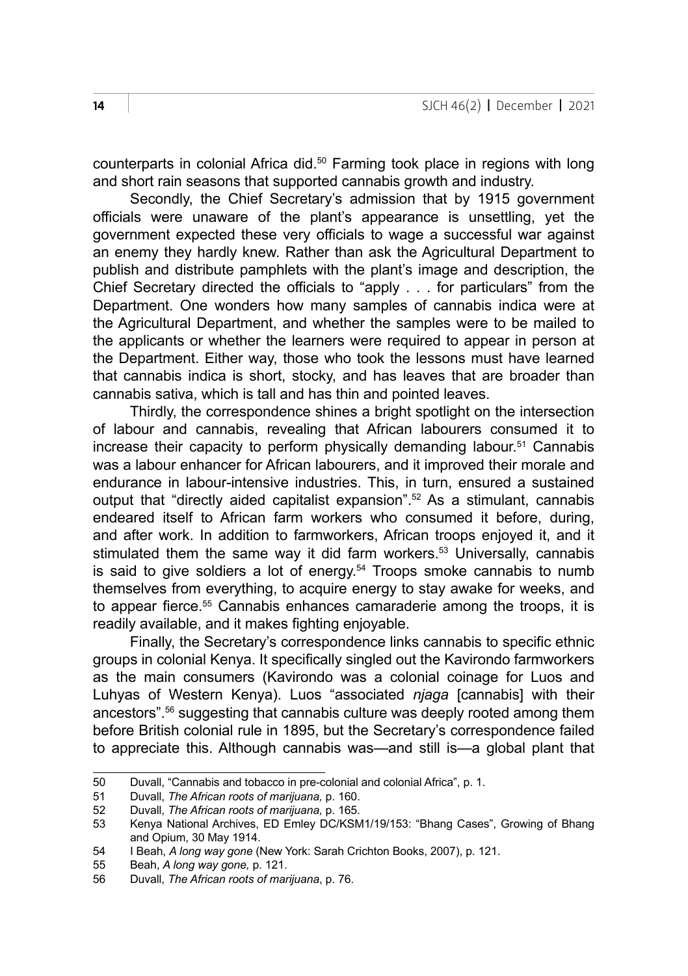counterparts in colonial Africa did.50 Farming took place in regions with long and short rain seasons that supported cannabis growth and industry.

Secondly, the Chief Secretary's admission that by 1915 government officials were unaware of the plant's appearance is unsettling, yet the government expected these very officials to wage a successful war against an enemy they hardly knew. Rather than ask the Agricultural Department to publish and distribute pamphlets with the plant's image and description, the Chief Secretary directed the officials to "apply . . . for particulars" from the Department. One wonders how many samples of cannabis indica were at the Agricultural Department, and whether the samples were to be mailed to the applicants or whether the learners were required to appear in person at the Department. Either way, those who took the lessons must have learned that cannabis indica is short, stocky, and has leaves that are broader than cannabis sativa, which is tall and has thin and pointed leaves.

Thirdly, the correspondence shines a bright spotlight on the intersection of labour and cannabis, revealing that African labourers consumed it to increase their capacity to perform physically demanding labour.<sup>51</sup> Cannabis was a labour enhancer for African labourers, and it improved their morale and endurance in labour-intensive industries. This, in turn, ensured a sustained output that "directly aided capitalist expansion".52 As a stimulant, cannabis endeared itself to African farm workers who consumed it before, during, and after work. In addition to farmworkers, African troops enjoyed it, and it stimulated them the same way it did farm workers.<sup>53</sup> Universally, cannabis is said to give soldiers a lot of energy. $54$  Troops smoke cannabis to numb themselves from everything, to acquire energy to stay awake for weeks, and to appear fierce.<sup>55</sup> Cannabis enhances camaraderie among the troops, it is readily available, and it makes fighting enjoyable.

Finally, the Secretary's correspondence links cannabis to specific ethnic groups in colonial Kenya. It specifically singled out the Kavirondo farmworkers as the main consumers (Kavirondo was a colonial coinage for Luos and Luhyas of Western Kenya). Luos "associated *njaga* [cannabis] with their ancestors".56 suggesting that cannabis culture was deeply rooted among them before British colonial rule in 1895, but the Secretary's correspondence failed to appreciate this. Although cannabis was—and still is—a global plant that

<sup>50</sup> Duvall, "Cannabis and tobacco in pre-colonial and colonial Africa", p. 1.<br>51 Duvall The African mots of marijuana p. 160

<sup>51</sup> Duvall, *The African roots of marijuana,* p. 160.

<sup>52</sup> Duvall, *The African roots of marijuana,* p. 165.

<sup>53</sup> Kenya National Archives, ED Emley DC/KSM1/19/153: "Bhang Cases", Growing of Bhang and Opium, 30 May 1914.

<sup>54</sup> I Beah, *A long way gone* (New York: Sarah Crichton Books, 2007), p. 121.

<sup>55</sup> Beah, *A long way gone,* p. 121.

<sup>56</sup> Duvall, *The African roots of marijuana*, p. 76.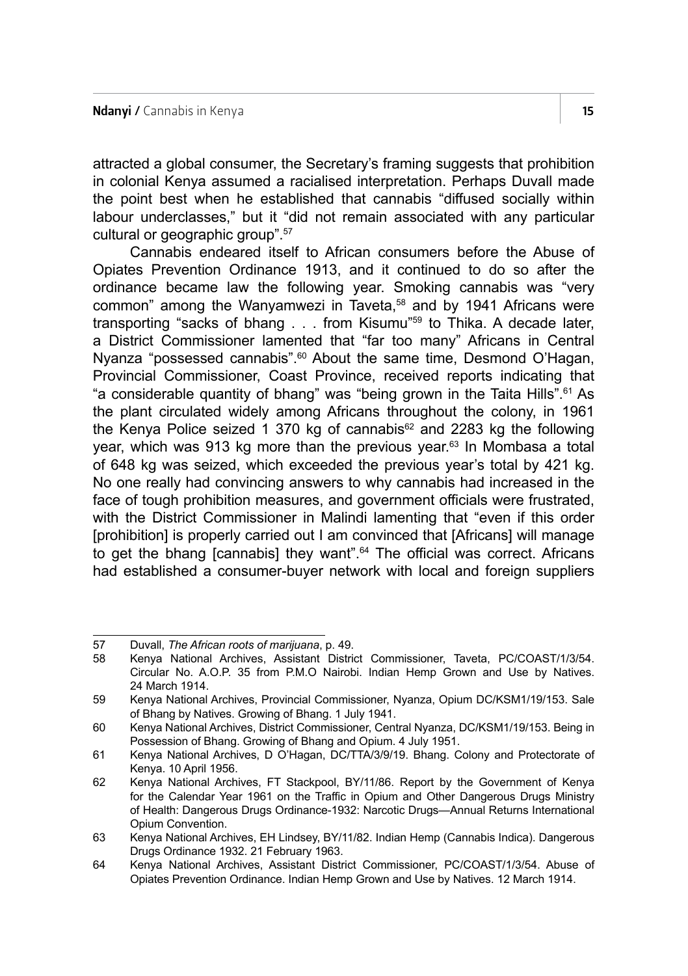attracted a global consumer, the Secretary's framing suggests that prohibition in colonial Kenya assumed a racialised interpretation. Perhaps Duvall made the point best when he established that cannabis "diffused socially within labour underclasses," but it "did not remain associated with any particular cultural or geographic group".<sup>57</sup>

Cannabis endeared itself to African consumers before the Abuse of Opiates Prevention Ordinance 1913, and it continued to do so after the ordinance became law the following year. Smoking cannabis was "very common" among the Wanyamwezi in Taveta,<sup>58</sup> and by 1941 Africans were transporting "sacks of bhang . . . from Kisumu"59 to Thika. A decade later, a District Commissioner lamented that "far too many" Africans in Central Nyanza "possessed cannabis".<sup>60</sup> About the same time, Desmond O'Hagan, Provincial Commissioner, Coast Province, received reports indicating that "a considerable quantity of bhang" was "being grown in the Taita Hills".61 As the plant circulated widely among Africans throughout the colony, in 1961 the Kenya Police seized 1 370 kg of cannabis $62$  and 2283 kg the following year, which was 913 kg more than the previous year.<sup>63</sup> In Mombasa a total of 648 kg was seized, which exceeded the previous year's total by 421 kg. No one really had convincing answers to why cannabis had increased in the face of tough prohibition measures, and government officials were frustrated, with the District Commissioner in Malindi lamenting that "even if this order [prohibition] is properly carried out I am convinced that [Africans] will manage to get the bhang [cannabis] they want".<sup>64</sup> The official was correct. Africans had established a consumer-buyer network with local and foreign suppliers

<sup>57</sup> Duvall, *The African roots of marijuana*, p. 49.

<sup>58</sup> Kenya National Archives, Assistant District Commissioner, Taveta, PC/COAST/1/3/54. Circular No. A.O.P. 35 from P.M.O Nairobi. Indian Hemp Grown and Use by Natives. 24 March 1914.

<sup>59</sup> Kenya National Archives, Provincial Commissioner, Nyanza, Opium DC/KSM1/19/153. Sale of Bhang by Natives. Growing of Bhang. 1 July 1941.

<sup>60</sup> Kenya National Archives, District Commissioner, Central Nyanza, DC/KSM1/19/153. Being in Possession of Bhang. Growing of Bhang and Opium. 4 July 1951.

<sup>61</sup> Kenya National Archives, D O'Hagan, DC/TTA/3/9/19. Bhang. Colony and Protectorate of Kenya. 10 April 1956.

<sup>62</sup> Kenya National Archives, FT Stackpool, BY/11/86. Report by the Government of Kenya for the Calendar Year 1961 on the Traffic in Opium and Other Dangerous Drugs Ministry of Health: Dangerous Drugs Ordinance-1932: Narcotic Drugs—Annual Returns International Opium Convention.

<sup>63</sup> Kenya National Archives, EH Lindsey, BY/11/82. Indian Hemp (Cannabis Indica). Dangerous Drugs Ordinance 1932. 21 February 1963.

<sup>64</sup> Kenya National Archives, Assistant District Commissioner, PC/COAST/1/3/54. Abuse of Opiates Prevention Ordinance. Indian Hemp Grown and Use by Natives. 12 March 1914.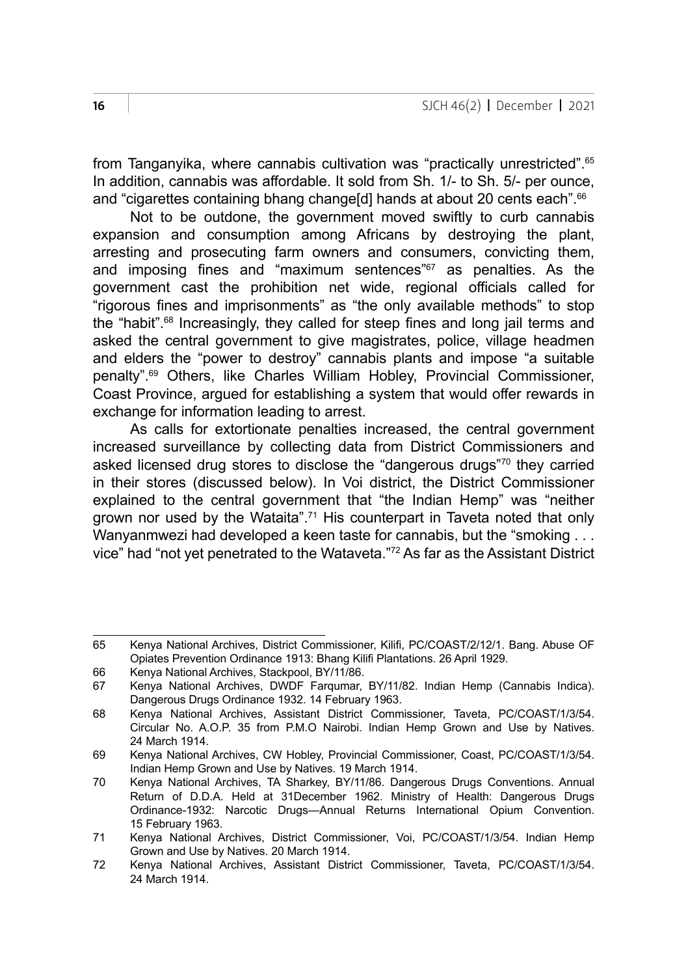from Tanganyika, where cannabis cultivation was "practically unrestricted".65 In addition, cannabis was affordable. It sold from Sh. 1/- to Sh. 5/- per ounce, and "cigarettes containing bhang change[d] hands at about 20 cents each".<sup>66</sup>

Not to be outdone, the government moved swiftly to curb cannabis expansion and consumption among Africans by destroying the plant, arresting and prosecuting farm owners and consumers, convicting them, and imposing fines and "maximum sentences"<sup>67</sup> as penalties. As the government cast the prohibition net wide, regional officials called for "rigorous fines and imprisonments" as "the only available methods" to stop the "habit".68 Increasingly, they called for steep fines and long jail terms and asked the central government to give magistrates, police, village headmen and elders the "power to destroy" cannabis plants and impose "a suitable penalty".69 Others, like Charles William Hobley, Provincial Commissioner, Coast Province, argued for establishing a system that would offer rewards in exchange for information leading to arrest.

As calls for extortionate penalties increased, the central government increased surveillance by collecting data from District Commissioners and asked licensed drug stores to disclose the "dangerous drugs"70 they carried in their stores (discussed below). In Voi district, the District Commissioner explained to the central government that "the Indian Hemp" was "neither grown nor used by the Wataita".71 His counterpart in Taveta noted that only Wanyanmwezi had developed a keen taste for cannabis, but the "smoking . . . vice" had "not yet penetrated to the Wataveta."72 As far as the Assistant District

66 Kenya National Archives, Stackpool, BY/11/86.

<sup>65</sup> Kenya National Archives, District Commissioner, Kilifi, PC/COAST/2/12/1. Bang. Abuse OF Opiates Prevention Ordinance 1913: Bhang Kilifi Plantations. 26 April 1929.

<sup>67</sup> Kenya National Archives, DWDF Farqumar, BY/11/82. Indian Hemp (Cannabis Indica). Dangerous Drugs Ordinance 1932. 14 February 1963.

<sup>68</sup> Kenya National Archives, Assistant District Commissioner, Taveta, PC/COAST/1/3/54. Circular No. A.O.P. 35 from P.M.O Nairobi. Indian Hemp Grown and Use by Natives. 24 March 1914.

<sup>69</sup> Kenya National Archives, CW Hobley, Provincial Commissioner, Coast, PC/COAST/1/3/54. Indian Hemp Grown and Use by Natives. 19 March 1914.

<sup>70</sup> Kenya National Archives, TA Sharkey, BY/11/86. Dangerous Drugs Conventions. Annual Return of D.D.A. Held at 31December 1962. Ministry of Health: Dangerous Drugs Ordinance-1932: Narcotic Drugs—Annual Returns International Opium Convention. 15 February 1963.

<sup>71</sup> Kenya National Archives, District Commissioner, Voi, PC/COAST/1/3/54. Indian Hemp Grown and Use by Natives. 20 March 1914.

<sup>72</sup> Kenya National Archives, Assistant District Commissioner, Taveta, PC/COAST/1/3/54. 24 March 1914.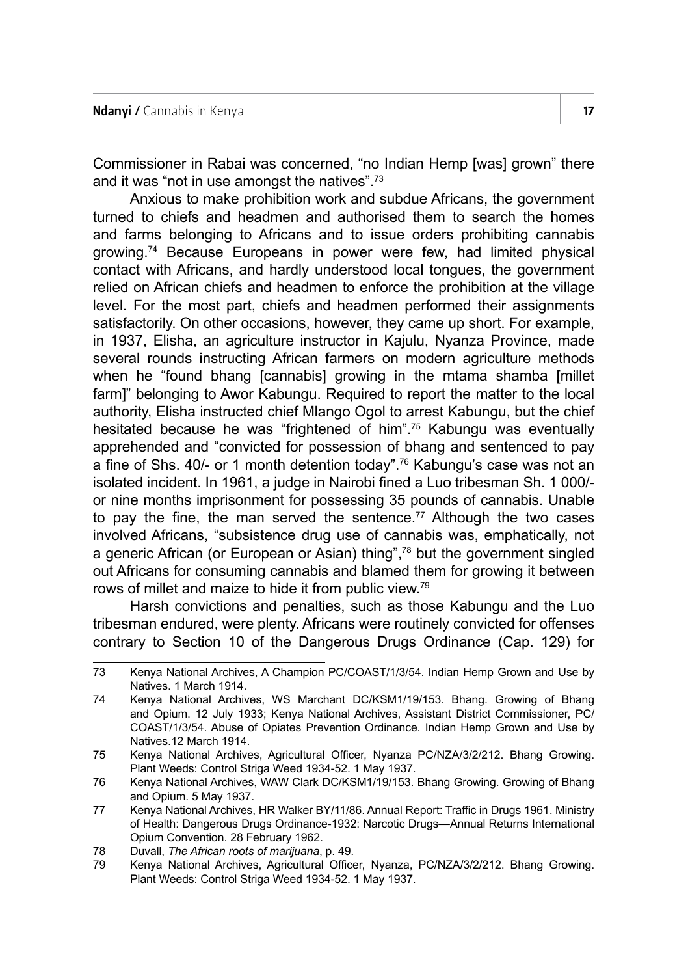Commissioner in Rabai was concerned, "no Indian Hemp [was] grown" there and it was "not in use amongst the natives".73

Anxious to make prohibition work and subdue Africans, the government turned to chiefs and headmen and authorised them to search the homes and farms belonging to Africans and to issue orders prohibiting cannabis growing.74 Because Europeans in power were few, had limited physical contact with Africans, and hardly understood local tongues, the government relied on African chiefs and headmen to enforce the prohibition at the village level. For the most part, chiefs and headmen performed their assignments satisfactorily. On other occasions, however, they came up short. For example, in 1937, Elisha, an agriculture instructor in Kajulu, Nyanza Province, made several rounds instructing African farmers on modern agriculture methods when he "found bhang [cannabis] growing in the mtama shamba [millet farm]" belonging to Awor Kabungu. Required to report the matter to the local authority, Elisha instructed chief Mlango Ogol to arrest Kabungu, but the chief hesitated because he was "frightened of him".75 Kabungu was eventually apprehended and "convicted for possession of bhang and sentenced to pay a fine of Shs. 40/- or 1 month detention today".<sup>76</sup> Kabungu's case was not an isolated incident. In 1961, a judge in Nairobi fined a Luo tribesman Sh. 1 000/ or nine months imprisonment for possessing 35 pounds of cannabis. Unable to pay the fine, the man served the sentence.<sup>77</sup> Although the two cases involved Africans, "subsistence drug use of cannabis was, emphatically, not a generic African (or European or Asian) thing",78 but the government singled out Africans for consuming cannabis and blamed them for growing it between rows of millet and maize to hide it from public view.79

Harsh convictions and penalties, such as those Kabungu and the Luo tribesman endured, were plenty. Africans were routinely convicted for offenses contrary to Section 10 of the Dangerous Drugs Ordinance (Cap. 129) for

<sup>73</sup> Kenya National Archives, A Champion PC/COAST/1/3/54. Indian Hemp Grown and Use by Natives. 1 March 1914.

<sup>74</sup> Kenya National Archives, WS Marchant DC/KSM1/19/153. Bhang. Growing of Bhang and Opium. 12 July 1933; Kenya National Archives, Assistant District Commissioner, PC/ COAST/1/3/54. Abuse of Opiates Prevention Ordinance. Indian Hemp Grown and Use by Natives.12 March 1914.

<sup>75</sup> Kenya National Archives, Agricultural Officer, Nyanza PC/NZA/3/2/212. Bhang Growing. Plant Weeds: Control Striga Weed 1934-52. 1 May 1937.

<sup>76</sup> Kenya National Archives, WAW Clark DC/KSM1/19/153. Bhang Growing. Growing of Bhang and Opium. 5 May 1937.

<sup>77</sup> Kenya National Archives, HR Walker BY/11/86. Annual Report: Traffic in Drugs 1961. Ministry of Health: Dangerous Drugs Ordinance-1932: Narcotic Drugs—Annual Returns International Opium Convention. 28 February 1962.

<sup>78</sup> Duvall, *The African roots of marijuana*, p. 49.

<sup>79</sup> Kenya National Archives, Agricultural Officer, Nyanza, PC/NZA/3/2/212. Bhang Growing. Plant Weeds: Control Striga Weed 1934-52. 1 May 1937.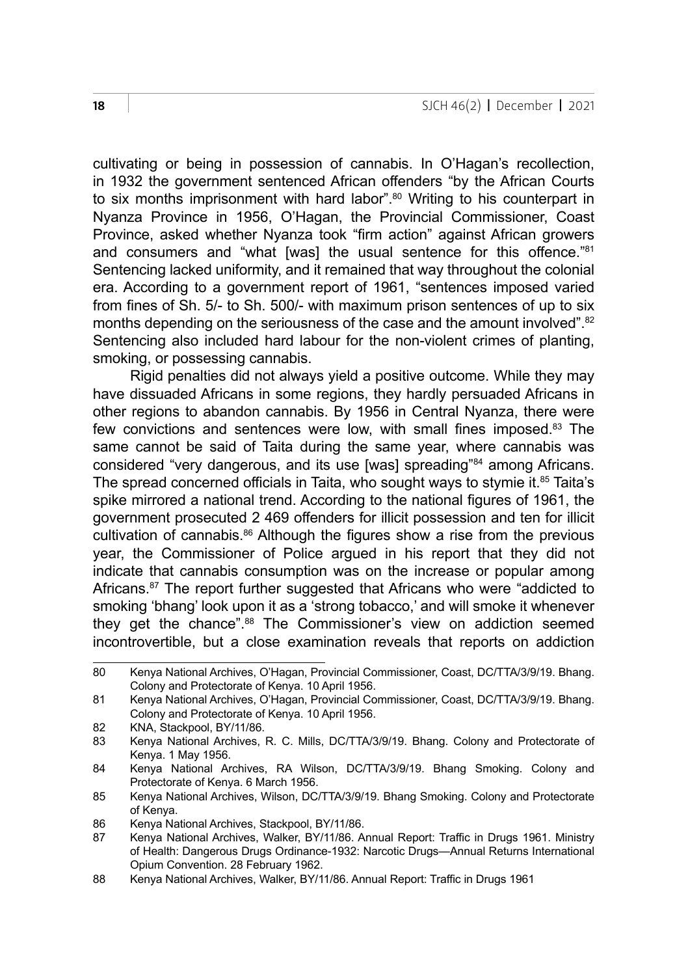cultivating or being in possession of cannabis. In O'Hagan's recollection, in 1932 the government sentenced African offenders "by the African Courts to six months imprisonment with hard labor".<sup>80</sup> Writing to his counterpart in Nyanza Province in 1956, O'Hagan, the Provincial Commissioner, Coast Province, asked whether Nyanza took "firm action" against African growers and consumers and "what [was] the usual sentence for this offence."<sup>81</sup> Sentencing lacked uniformity, and it remained that way throughout the colonial era. According to a government report of 1961, "sentences imposed varied from fines of Sh. 5/- to Sh. 500/- with maximum prison sentences of up to six months depending on the seriousness of the case and the amount involved".<sup>82</sup> Sentencing also included hard labour for the non-violent crimes of planting, smoking, or possessing cannabis.

Rigid penalties did not always yield a positive outcome. While they may have dissuaded Africans in some regions, they hardly persuaded Africans in other regions to abandon cannabis. By 1956 in Central Nyanza, there were few convictions and sentences were low, with small fines imposed.<sup>83</sup> The same cannot be said of Taita during the same year, where cannabis was considered "very dangerous, and its use [was] spreading"<sup>84</sup> among Africans. The spread concerned officials in Taita, who sought ways to stymie it.<sup>85</sup> Taita's spike mirrored a national trend. According to the national figures of 1961, the government prosecuted 2 469 offenders for illicit possession and ten for illicit cultivation of cannabis.86 Although the figures show a rise from the previous year, the Commissioner of Police argued in his report that they did not indicate that cannabis consumption was on the increase or popular among Africans.<sup>87</sup> The report further suggested that Africans who were "addicted to smoking 'bhang' look upon it as a 'strong tobacco,' and will smoke it whenever they get the chance".88 The Commissioner's view on addiction seemed incontrovertible, but a close examination reveals that reports on addiction

<sup>80</sup> Kenya National Archives, O'Hagan, Provincial Commissioner, Coast, DC/TTA/3/9/19. Bhang. Colony and Protectorate of Kenya. 10 April 1956.

<sup>81</sup> Kenya National Archives, O'Hagan, Provincial Commissioner, Coast, DC/TTA/3/9/19. Bhang. Colony and Protectorate of Kenya. 10 April 1956.

<sup>82</sup> KNA, Stackpool, BY/11/86.<br>83 Kenya National Archives

<sup>83</sup> Kenya National Archives, R. C. Mills, DC/TTA/3/9/19. Bhang. Colony and Protectorate of Kenya. 1 May 1956.

<sup>84</sup> Kenya National Archives, RA Wilson, DC/TTA/3/9/19. Bhang Smoking. Colony and Protectorate of Kenya. 6 March 1956.

<sup>85</sup> Kenya National Archives, Wilson, DC/TTA/3/9/19. Bhang Smoking. Colony and Protectorate of Kenya.

<sup>86</sup> Kenya National Archives, Stackpool, BY/11/86.

<sup>87</sup> Kenya National Archives, Walker, BY/11/86. Annual Report: Traffic in Drugs 1961. Ministry of Health: Dangerous Drugs Ordinance-1932: Narcotic Drugs—Annual Returns International Opium Convention. 28 February 1962.

<sup>88</sup> Kenya National Archives, Walker, BY/11/86. Annual Report: Traffic in Drugs 1961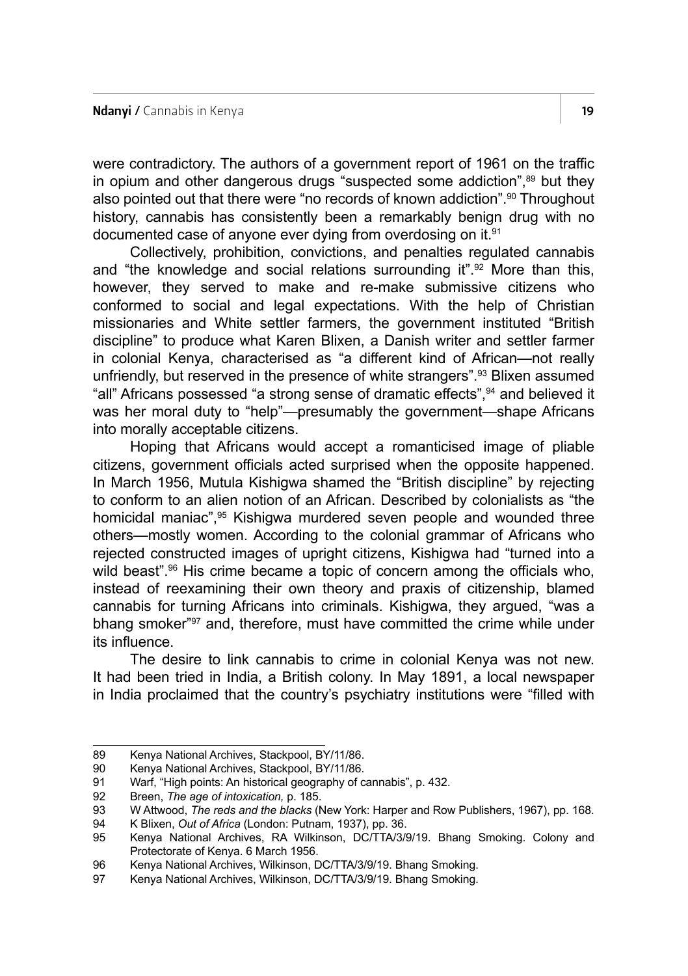were contradictory. The authors of a government report of 1961 on the traffic in opium and other dangerous drugs "suspected some addiction",<sup>89</sup> but they also pointed out that there were "no records of known addiction".<sup>90</sup> Throughout history, cannabis has consistently been a remarkably benign drug with no documented case of anyone ever dying from overdosing on it.91

Collectively, prohibition, convictions, and penalties regulated cannabis and "the knowledge and social relations surrounding it". $92$  More than this, however, they served to make and re-make submissive citizens who conformed to social and legal expectations. With the help of Christian missionaries and White settler farmers, the government instituted "British discipline" to produce what Karen Blixen, a Danish writer and settler farmer in colonial Kenya, characterised as "a different kind of African—not really unfriendly, but reserved in the presence of white strangers".93 Blixen assumed "all" Africans possessed "a strong sense of dramatic effects",<sup>94</sup> and believed it was her moral duty to "help"—presumably the government—shape Africans into morally acceptable citizens.

Hoping that Africans would accept a romanticised image of pliable citizens, government officials acted surprised when the opposite happened. In March 1956, Mutula Kishigwa shamed the "British discipline" by rejecting to conform to an alien notion of an African. Described by colonialists as "the homicidal maniac",<sup>95</sup> Kishigwa murdered seven people and wounded three others—mostly women. According to the colonial grammar of Africans who rejected constructed images of upright citizens, Kishigwa had "turned into a wild beast".96 His crime became a topic of concern among the officials who, instead of reexamining their own theory and praxis of citizenship, blamed cannabis for turning Africans into criminals. Kishigwa, they argued, "was a bhang smoker"97 and, therefore, must have committed the crime while under its influence.

The desire to link cannabis to crime in colonial Kenya was not new. It had been tried in India, a British colony. In May 1891, a local newspaper in India proclaimed that the country's psychiatry institutions were "filled with

<sup>89</sup> Kenya National Archives, Stackpool, BY/11/86.

<sup>90</sup> Kenya National Archives, Stackpool, BY/11/86.<br>91 Warf "High points: An historical geography of c

<sup>91</sup> Warf, "High points: An historical geography of cannabis", p. 432.<br>92 Breen. The age of intoxication. p. 185.

<sup>92</sup> Breen, *The age of intoxication,* p. 185.

<sup>93</sup> W Attwood, *The reds and the blacks* (New York: Harper and Row Publishers, 1967), pp. 168.

<sup>94</sup> K Blixen, *Out of Africa* (London: Putnam, 1937), pp. 36.

Kenya National Archives, RA Wilkinson, DC/TTA/3/9/19. Bhang Smoking. Colony and Protectorate of Kenya. 6 March 1956.

<sup>96</sup> Kenya National Archives, Wilkinson, DC/TTA/3/9/19. Bhang Smoking.<br>97 Kenya National Archives Wilkinson, DC/TTA/3/9/19. Bhang Smoking.

Kenya National Archives, Wilkinson, DC/TTA/3/9/19. Bhang Smoking.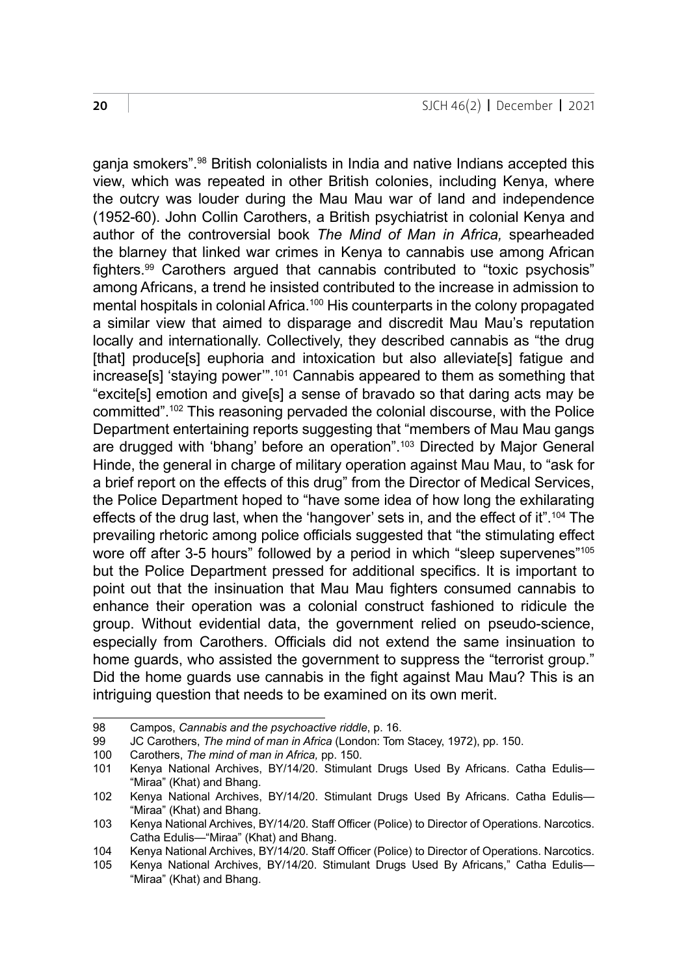ganja smokers".98 British colonialists in India and native Indians accepted this view, which was repeated in other British colonies, including Kenya, where the outcry was louder during the Mau Mau war of land and independence (1952‑60). John Collin Carothers, a British psychiatrist in colonial Kenya and author of the controversial book *The Mind of Man in Africa,* spearheaded the blarney that linked war crimes in Kenya to cannabis use among African fighters.99 Carothers argued that cannabis contributed to "toxic psychosis" among Africans, a trend he insisted contributed to the increase in admission to mental hospitals in colonial Africa.<sup>100</sup> His counterparts in the colony propagated a similar view that aimed to disparage and discredit Mau Mau's reputation locally and internationally. Collectively, they described cannabis as "the drug [that] produce[s] euphoria and intoxication but also alleviate[s] fatigue and increase[s] 'staying power'".101 Cannabis appeared to them as something that "excite[s] emotion and give[s] a sense of bravado so that daring acts may be committed".102 This reasoning pervaded the colonial discourse, with the Police Department entertaining reports suggesting that "members of Mau Mau gangs are drugged with 'bhang' before an operation".103 Directed by Major General Hinde, the general in charge of military operation against Mau Mau, to "ask for a brief report on the effects of this drug" from the Director of Medical Services, the Police Department hoped to "have some idea of how long the exhilarating effects of the drug last, when the 'hangover' sets in, and the effect of it".104 The prevailing rhetoric among police officials suggested that "the stimulating effect wore off after 3-5 hours" followed by a period in which "sleep supervenes"<sup>105</sup> but the Police Department pressed for additional specifics. It is important to point out that the insinuation that Mau Mau fighters consumed cannabis to enhance their operation was a colonial construct fashioned to ridicule the group. Without evidential data, the government relied on pseudo-science, especially from Carothers. Officials did not extend the same insinuation to home guards, who assisted the government to suppress the "terrorist group." Did the home guards use cannabis in the fight against Mau Mau? This is an intriguing question that needs to be examined on its own merit.

<sup>98</sup> Campos, *Cannabis and the psychoactive riddle*, p. 16.

<sup>99</sup> JC Carothers, *The mind of man in Africa* (London: Tom Stacey, 1972), pp. 150.

<sup>100</sup> Carothers, *The mind of man in Africa,* pp. 150.

Kenya National Archives, BY/14/20. Stimulant Drugs Used By Africans. Catha Edulis-"Miraa" (Khat) and Bhang.

<sup>102</sup> Kenya National Archives, BY/14/20. Stimulant Drugs Used By Africans. Catha Edulis— "Miraa" (Khat) and Bhang.

<sup>103</sup> Kenya National Archives, BY/14/20. Staff Officer (Police) to Director of Operations. Narcotics. Catha Edulis—"Miraa" (Khat) and Bhang.

<sup>104</sup> Kenya National Archives, BY/14/20. Staff Officer (Police) to Director of Operations. Narcotics.

<sup>105</sup> Kenya National Archives, BY/14/20. Stimulant Drugs Used By Africans," Catha Edulis— "Miraa" (Khat) and Bhang.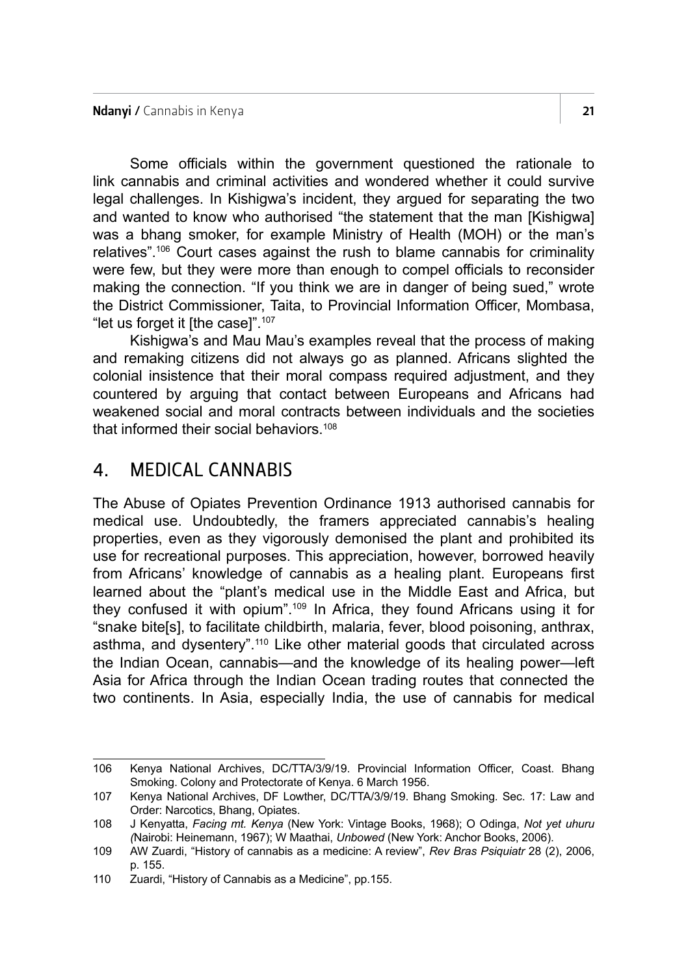Some officials within the government questioned the rationale to link cannabis and criminal activities and wondered whether it could survive legal challenges. In Kishigwa's incident, they argued for separating the two and wanted to know who authorised "the statement that the man [Kishigwa] was a bhang smoker, for example Ministry of Health (MOH) or the man's relatives".106 Court cases against the rush to blame cannabis for criminality were few, but they were more than enough to compel officials to reconsider making the connection. "If you think we are in danger of being sued," wrote the District Commissioner, Taita, to Provincial Information Officer, Mombasa, "let us forget it [the case]".<sup>107</sup>

Kishigwa's and Mau Mau's examples reveal that the process of making and remaking citizens did not always go as planned. Africans slighted the colonial insistence that their moral compass required adjustment, and they countered by arguing that contact between Europeans and Africans had weakened social and moral contracts between individuals and the societies that informed their social behaviors.<sup>108</sup>

## 4. MEDICAL CANNABIS

The Abuse of Opiates Prevention Ordinance 1913 authorised cannabis for medical use. Undoubtedly, the framers appreciated cannabis's healing properties, even as they vigorously demonised the plant and prohibited its use for recreational purposes. This appreciation, however, borrowed heavily from Africans' knowledge of cannabis as a healing plant. Europeans first learned about the "plant's medical use in the Middle East and Africa, but they confused it with opium".109 In Africa, they found Africans using it for "snake bite[s], to facilitate childbirth, malaria, fever, blood poisoning, anthrax, asthma, and dysentery".<sup>110</sup> Like other material goods that circulated across the Indian Ocean, cannabis—and the knowledge of its healing power—left Asia for Africa through the Indian Ocean trading routes that connected the two continents. In Asia, especially India, the use of cannabis for medical

<sup>106</sup> Kenya National Archives, DC/TTA/3/9/19. Provincial Information Officer, Coast. Bhang Smoking. Colony and Protectorate of Kenya. 6 March 1956.

<sup>107</sup> Kenya National Archives, DF Lowther, DC/TTA/3/9/19. Bhang Smoking. Sec. 17: Law and Order: Narcotics, Bhang, Opiates.

<sup>108</sup> J Kenyatta, *Facing mt. Kenya* (New York: Vintage Books, 1968); O Odinga, *Not yet uhuru (*Nairobi: Heinemann, 1967); W Maathai, *Unbowed* (New York: Anchor Books, 2006).

<sup>109</sup> AW Zuardi, "History of cannabis as a medicine: A review", *Rev Bras Psiquiatr* 28 (2), 2006, p. 155.

<sup>110</sup> Zuardi, "History of Cannabis as a Medicine", pp.155.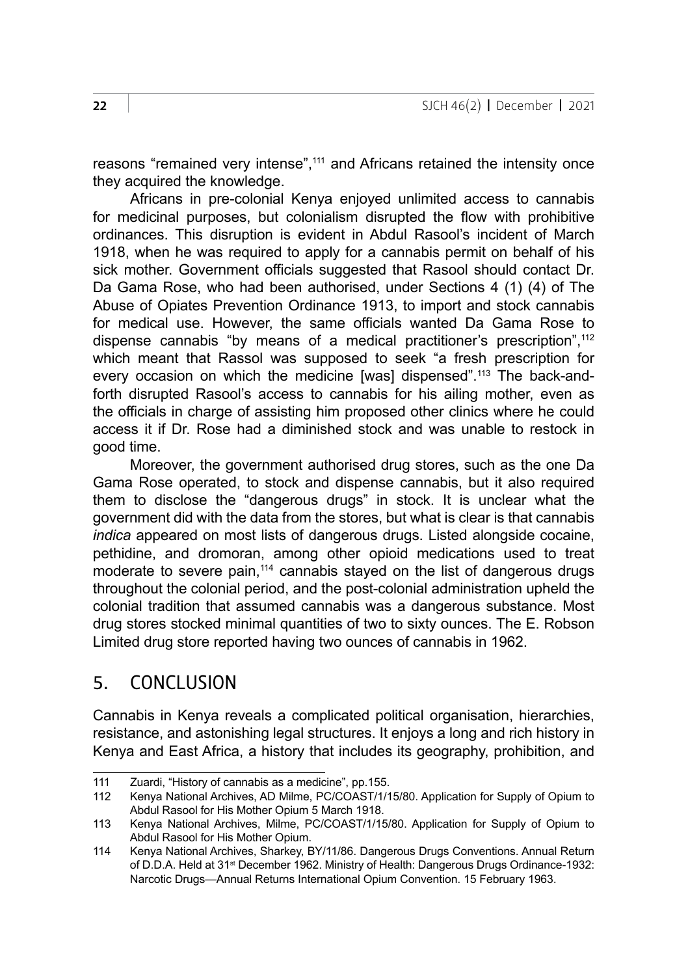reasons "remained very intense",111 and Africans retained the intensity once they acquired the knowledge.

Africans in pre-colonial Kenya enjoyed unlimited access to cannabis for medicinal purposes, but colonialism disrupted the flow with prohibitive ordinances. This disruption is evident in Abdul Rasool's incident of March 1918, when he was required to apply for a cannabis permit on behalf of his sick mother. Government officials suggested that Rasool should contact Dr. Da Gama Rose, who had been authorised, under Sections 4 (1) (4) of The Abuse of Opiates Prevention Ordinance 1913, to import and stock cannabis for medical use. However, the same officials wanted Da Gama Rose to dispense cannabis "by means of a medical practitioner's prescription",112 which meant that Rassol was supposed to seek "a fresh prescription for every occasion on which the medicine [was] dispensed".113 The back-andforth disrupted Rasool's access to cannabis for his ailing mother, even as the officials in charge of assisting him proposed other clinics where he could access it if Dr. Rose had a diminished stock and was unable to restock in good time.

Moreover, the government authorised drug stores, such as the one Da Gama Rose operated, to stock and dispense cannabis, but it also required them to disclose the "dangerous drugs" in stock. It is unclear what the government did with the data from the stores, but what is clear is that cannabis *indica* appeared on most lists of dangerous drugs. Listed alongside cocaine, pethidine, and dromoran, among other opioid medications used to treat moderate to severe pain.<sup>114</sup> cannabis stayed on the list of dangerous drugs throughout the colonial period, and the post-colonial administration upheld the colonial tradition that assumed cannabis was a dangerous substance. Most drug stores stocked minimal quantities of two to sixty ounces. The E. Robson Limited drug store reported having two ounces of cannabis in 1962.

## 5. CONCLUSION

Cannabis in Kenya reveals a complicated political organisation, hierarchies, resistance, and astonishing legal structures. It enjoys a long and rich history in Kenya and East Africa, a history that includes its geography, prohibition, and

<sup>111</sup> Zuardi, "History of cannabis as a medicine", pp. 155.<br>112 Kenya National Archives. AD Milme. PC/COAST/1/1

<sup>112</sup> Kenya National Archives, AD Milme, PC/COAST/1/15/80. Application for Supply of Opium to Abdul Rasool for His Mother Opium 5 March 1918.

<sup>113</sup> Kenya National Archives, Milme, PC/COAST/1/15/80. Application for Supply of Opium to Abdul Rasool for His Mother Opium.

<sup>114</sup> Kenya National Archives, Sharkey, BY/11/86. Dangerous Drugs Conventions. Annual Return of D.D.A. Held at 31st December 1962. Ministry of Health: Dangerous Drugs Ordinance-1932: Narcotic Drugs—Annual Returns International Opium Convention. 15 February 1963.